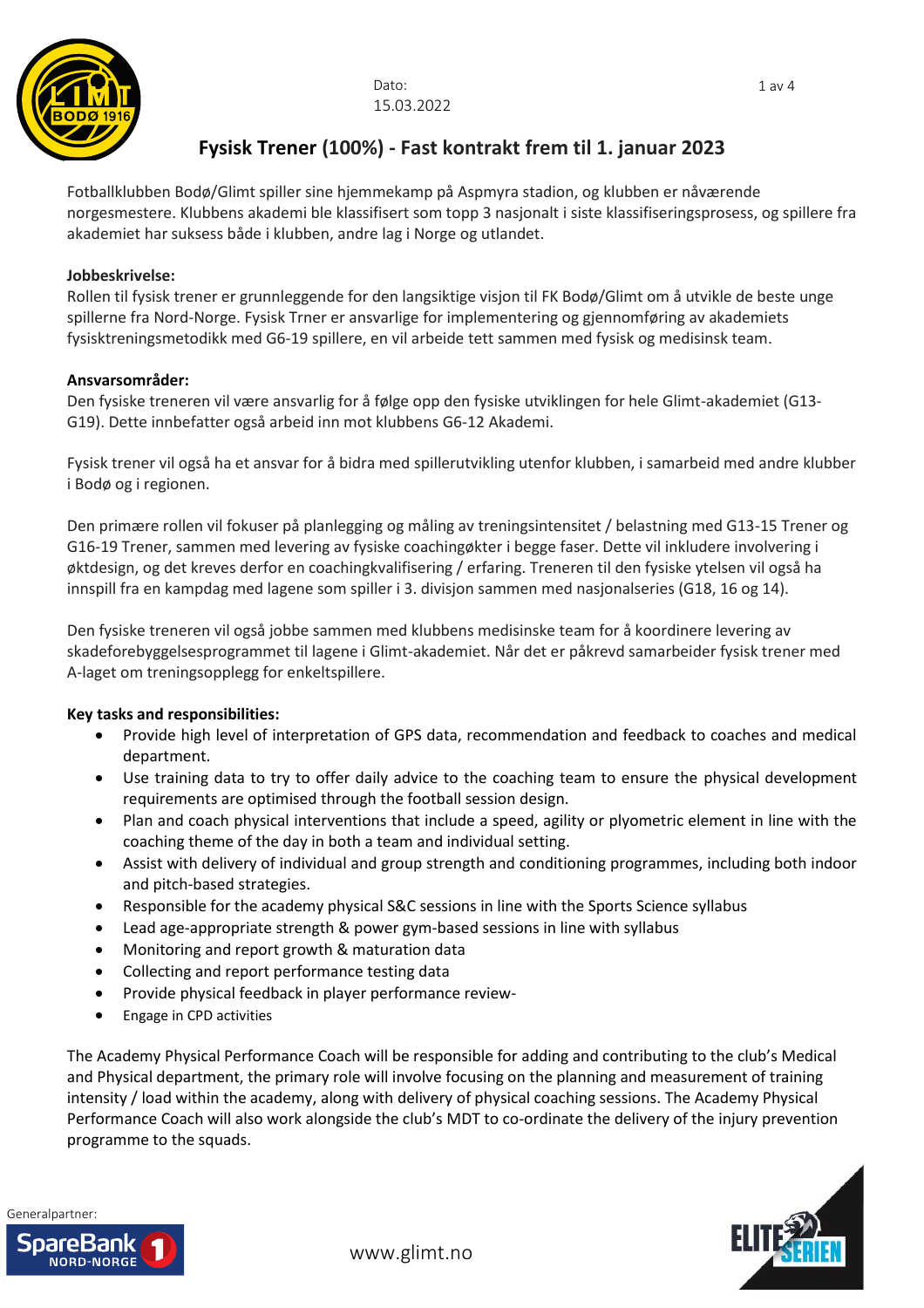

Dato: 15.03.2022

# **Fysisk Trener (100%) - Fast kontrakt frem til 1. januar 2023**

Fotballklubben Bodø/Glimt spiller sine hjemmekamp på Aspmyra stadion, og klubben er nåværende norgesmestere. Klubbens akademi ble klassifisert som topp 3 nasjonalt i siste klassifiseringsprosess, og spillere fra akademiet har suksess både i klubben, andre lag i Norge og utlandet.

# **Jobbeskrivelse:**

Rollen til fysisk trener er grunnleggende for den langsiktige visjon til FK Bodø/Glimt om å utvikle de beste unge spillerne fra Nord-Norge. Fysisk Trner er ansvarlige for implementering og gjennomføring av akademiets fysisktreningsmetodikk med G6-19 spillere, en vil arbeide tett sammen med fysisk og medisinsk team.

## **Ansvarsområder:**

Den fysiske treneren vil være ansvarlig for å følge opp den fysiske utviklingen for hele Glimt-akademiet (G13- G19). Dette innbefatter også arbeid inn mot klubbens G6-12 Akademi.

Fysisk trener vil også ha et ansvar for å bidra med spillerutvikling utenfor klubben, i samarbeid med andre klubber i Bodø og i regionen.

Den primære rollen vil fokuser på planlegging og måling av treningsintensitet / belastning med G13-15 Trener og G16-19 Trener, sammen med levering av fysiske coachingøkter i begge faser. Dette vil inkludere involvering i øktdesign, og det kreves derfor en coachingkvalifisering / erfaring. Treneren til den fysiske ytelsen vil også ha innspill fra en kampdag med lagene som spiller i 3. divisjon sammen med nasjonalseries (G18, 16 og 14).

Den fysiske treneren vil også jobbe sammen med klubbens medisinske team for å koordinere levering av skadeforebyggelsesprogrammet til lagene i Glimt-akademiet. Når det er påkrevd samarbeider fysisk trener med A-laget om treningsopplegg for enkeltspillere.

# **Key tasks and responsibilities:**

- Provide high level of interpretation of GPS data, recommendation and feedback to coaches and medical department.
- Use training data to try to offer daily advice to the coaching team to ensure the physical development requirements are optimised through the football session design.
- Plan and coach physical interventions that include a speed, agility or plyometric element in line with the coaching theme of the day in both a team and individual setting.
- Assist with delivery of individual and group strength and conditioning programmes, including both indoor and pitch-based strategies.
- Responsible for the academy physical S&C sessions in line with the Sports Science syllabus
- Lead age-appropriate strength & power gym-based sessions in line with syllabus
- Monitoring and report growth & maturation data
- Collecting and report performance testing data
- Provide physical feedback in player performance review-
- Engage in CPD activities

The Academy Physical Performance Coach will be responsible for adding and contributing to the club's Medical and Physical department, the primary role will involve focusing on the planning and measurement of training intensity / load within the academy, along with delivery of physical coaching sessions. The Academy Physical Performance Coach will also work alongside the club's MDT to co-ordinate the delivery of the injury prevention programme to the squads.



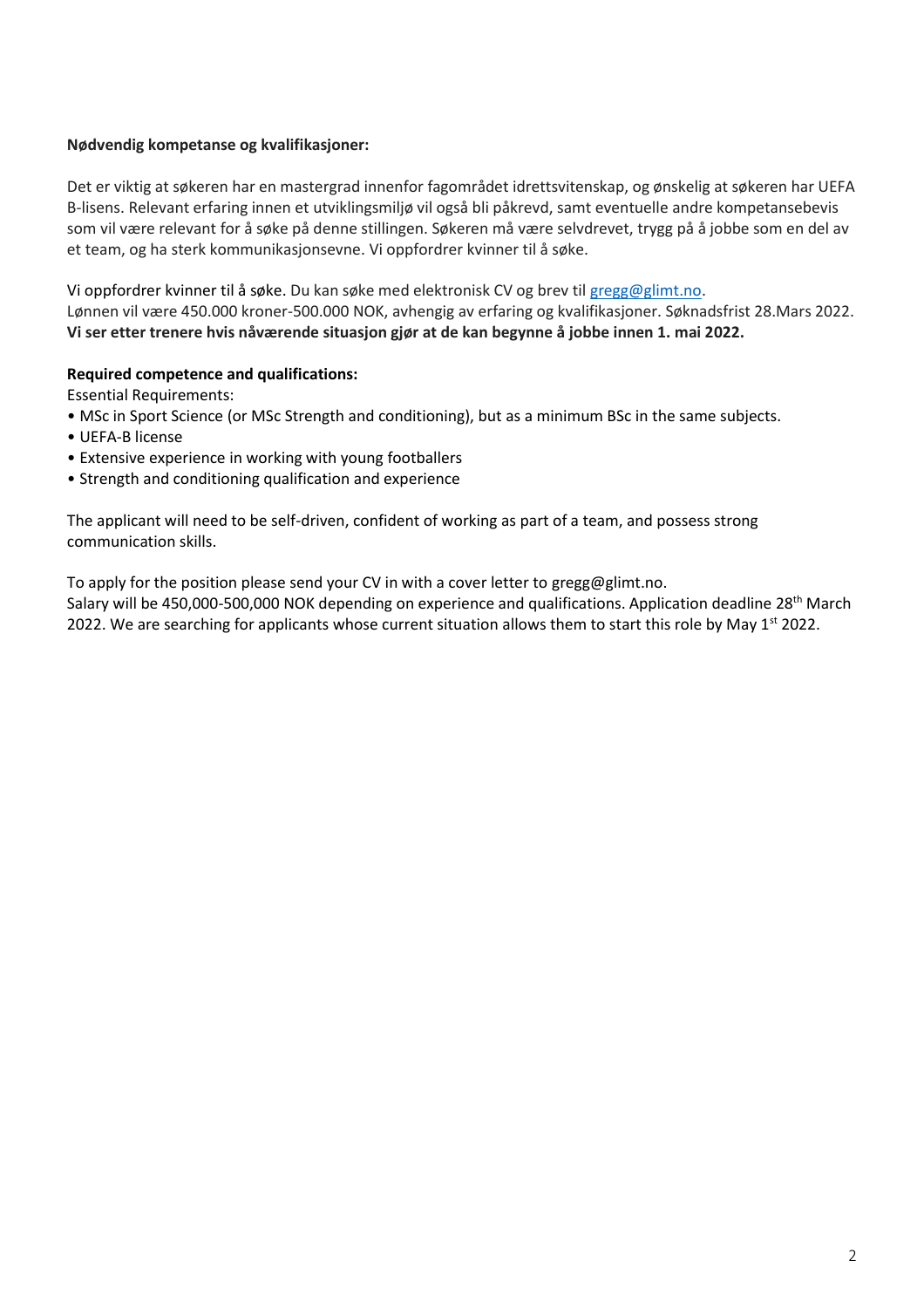## **Nødvendig kompetanse og kvalifikasjoner:**

Det er viktig at søkeren har en mastergrad innenfor fagområdet idrettsvitenskap, og ønskelig at søkeren har UEFA B-lisens. Relevant erfaring innen et utviklingsmiljø vil også bli påkrevd, samt eventuelle andre kompetansebevis som vil være relevant for å søke på denne stillingen. Søkeren må være selvdrevet, trygg på å jobbe som en del av et team, og ha sterk kommunikasjonsevne. Vi oppfordrer kvinner til å søke.

Vi oppfordrer kvinner til å søke. Du kan søke med elektronisk CV og brev til [gregg@glimt.no.](mailto:gregg@glimt.no) Lønnen vil være 450.000 kroner-500.000 NOK, avhengig av erfaring og kvalifikasjoner. Søknadsfrist 28.Mars 2022. **Vi ser etter trenere hvis nåværende situasjon gjør at de kan begynne å jobbe innen 1. mai 2022.**

## **Required competence and qualifications:**

Essential Requirements:

- MSc in Sport Science (or MSc Strength and conditioning), but as a minimum BSc in the same subjects.
- UEFA-B license
- Extensive experience in working with young footballers
- Strength and conditioning qualification and experience

The applicant will need to be self-driven, confident of working as part of a team, and possess strong communication skills.

To apply for the position please send your CV in with a cover letter to gregg@glimt.no.

Salary will be 450,000-500,000 NOK depending on experience and qualifications. Application deadline 28<sup>th</sup> March 2022. We are searching for applicants whose current situation allows them to start this role by May  $1^{st}$  2022.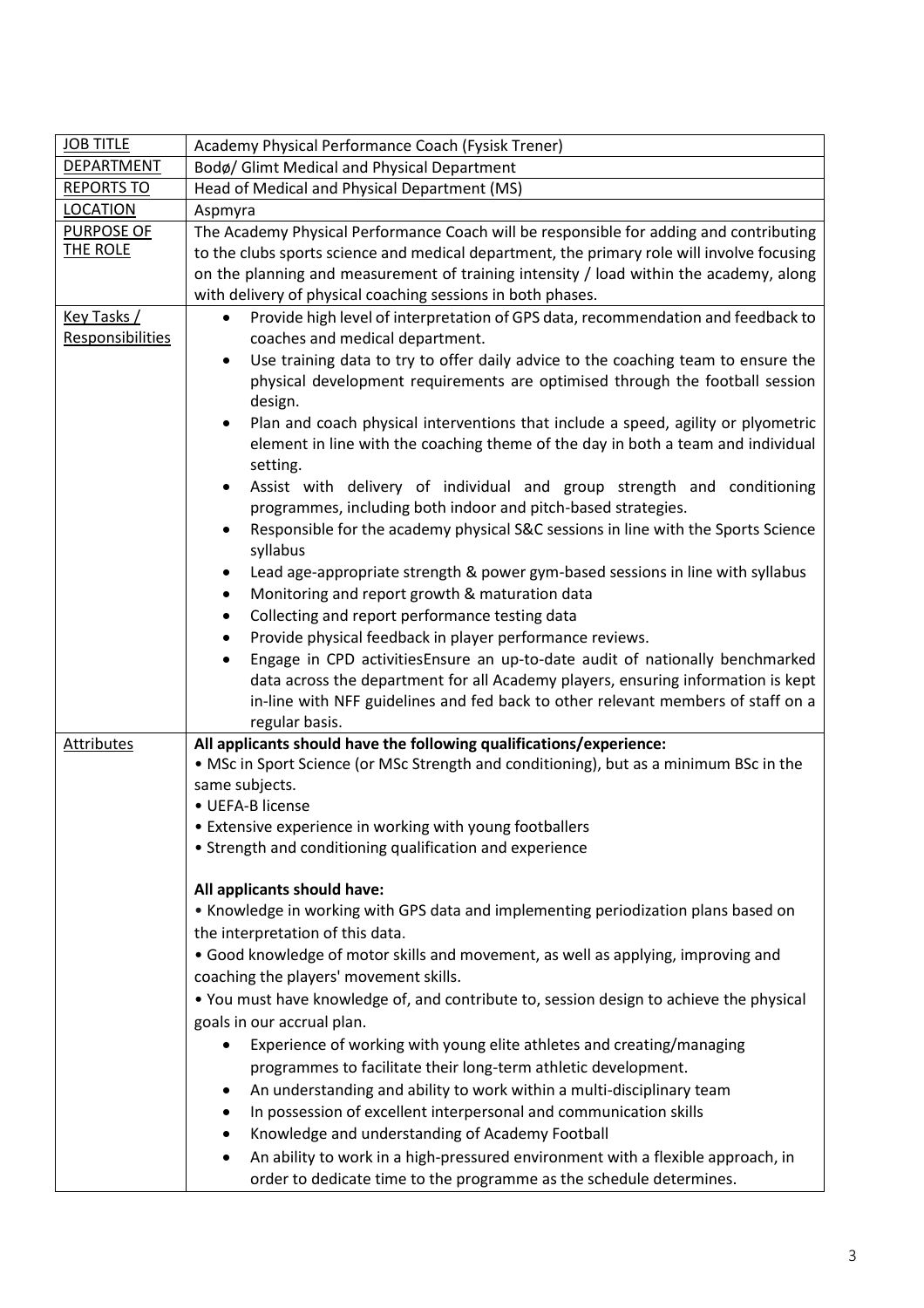| <b>JOB TITLE</b>                              | Academy Physical Performance Coach (Fysisk Trener)                                                                                                                                |  |  |  |  |  |
|-----------------------------------------------|-----------------------------------------------------------------------------------------------------------------------------------------------------------------------------------|--|--|--|--|--|
| <b>DEPARTMENT</b>                             | Bodø/ Glimt Medical and Physical Department                                                                                                                                       |  |  |  |  |  |
| <b>REPORTS TO</b>                             | Head of Medical and Physical Department (MS)                                                                                                                                      |  |  |  |  |  |
| <b>LOCATION</b>                               | Aspmyra                                                                                                                                                                           |  |  |  |  |  |
| <b>PURPOSE OF</b>                             | The Academy Physical Performance Coach will be responsible for adding and contributing                                                                                            |  |  |  |  |  |
| THE ROLE                                      | to the clubs sports science and medical department, the primary role will involve focusing                                                                                        |  |  |  |  |  |
|                                               | on the planning and measurement of training intensity / load within the academy, along                                                                                            |  |  |  |  |  |
|                                               | with delivery of physical coaching sessions in both phases.                                                                                                                       |  |  |  |  |  |
| <u>Key Tasks /</u><br><b>Responsibilities</b> | Provide high level of interpretation of GPS data, recommendation and feedback to<br>$\bullet$<br>coaches and medical department.                                                  |  |  |  |  |  |
|                                               | Use training data to try to offer daily advice to the coaching team to ensure the<br>٠<br>physical development requirements are optimised through the football session<br>design. |  |  |  |  |  |
|                                               | Plan and coach physical interventions that include a speed, agility or plyometric<br>element in line with the coaching theme of the day in both a team and individual<br>setting. |  |  |  |  |  |
|                                               | Assist with delivery of individual and group strength and conditioning<br>programmes, including both indoor and pitch-based strategies.                                           |  |  |  |  |  |
|                                               | Responsible for the academy physical S&C sessions in line with the Sports Science<br>syllabus                                                                                     |  |  |  |  |  |
|                                               | Lead age-appropriate strength & power gym-based sessions in line with syllabus                                                                                                    |  |  |  |  |  |
|                                               | Monitoring and report growth & maturation data                                                                                                                                    |  |  |  |  |  |
|                                               | Collecting and report performance testing data<br>٠                                                                                                                               |  |  |  |  |  |
|                                               | Provide physical feedback in player performance reviews.                                                                                                                          |  |  |  |  |  |
|                                               | Engage in CPD activitiesEnsure an up-to-date audit of nationally benchmarked                                                                                                      |  |  |  |  |  |
|                                               | data across the department for all Academy players, ensuring information is kept                                                                                                  |  |  |  |  |  |
|                                               | in-line with NFF guidelines and fed back to other relevant members of staff on a                                                                                                  |  |  |  |  |  |
|                                               | regular basis.                                                                                                                                                                    |  |  |  |  |  |
| Attributes                                    | All applicants should have the following qualifications/experience:                                                                                                               |  |  |  |  |  |
|                                               | • MSc in Sport Science (or MSc Strength and conditioning), but as a minimum BSc in the<br>same subjects.                                                                          |  |  |  |  |  |
|                                               | · UEFA-B license                                                                                                                                                                  |  |  |  |  |  |
|                                               | • Extensive experience in working with young footballers                                                                                                                          |  |  |  |  |  |
|                                               | • Strength and conditioning qualification and experience<br>All applicants should have:                                                                                           |  |  |  |  |  |
|                                               |                                                                                                                                                                                   |  |  |  |  |  |
|                                               | . Knowledge in working with GPS data and implementing periodization plans based on                                                                                                |  |  |  |  |  |
|                                               | the interpretation of this data.                                                                                                                                                  |  |  |  |  |  |
|                                               | • Good knowledge of motor skills and movement, as well as applying, improving and                                                                                                 |  |  |  |  |  |
|                                               | coaching the players' movement skills.                                                                                                                                            |  |  |  |  |  |
|                                               | • You must have knowledge of, and contribute to, session design to achieve the physical                                                                                           |  |  |  |  |  |
|                                               | goals in our accrual plan.                                                                                                                                                        |  |  |  |  |  |
|                                               | Experience of working with young elite athletes and creating/managing                                                                                                             |  |  |  |  |  |
|                                               | programmes to facilitate their long-term athletic development.                                                                                                                    |  |  |  |  |  |
|                                               | An understanding and ability to work within a multi-disciplinary team                                                                                                             |  |  |  |  |  |
|                                               | In possession of excellent interpersonal and communication skills                                                                                                                 |  |  |  |  |  |
|                                               | Knowledge and understanding of Academy Football                                                                                                                                   |  |  |  |  |  |
|                                               | An ability to work in a high-pressured environment with a flexible approach, in                                                                                                   |  |  |  |  |  |
|                                               | order to dedicate time to the programme as the schedule determines.                                                                                                               |  |  |  |  |  |